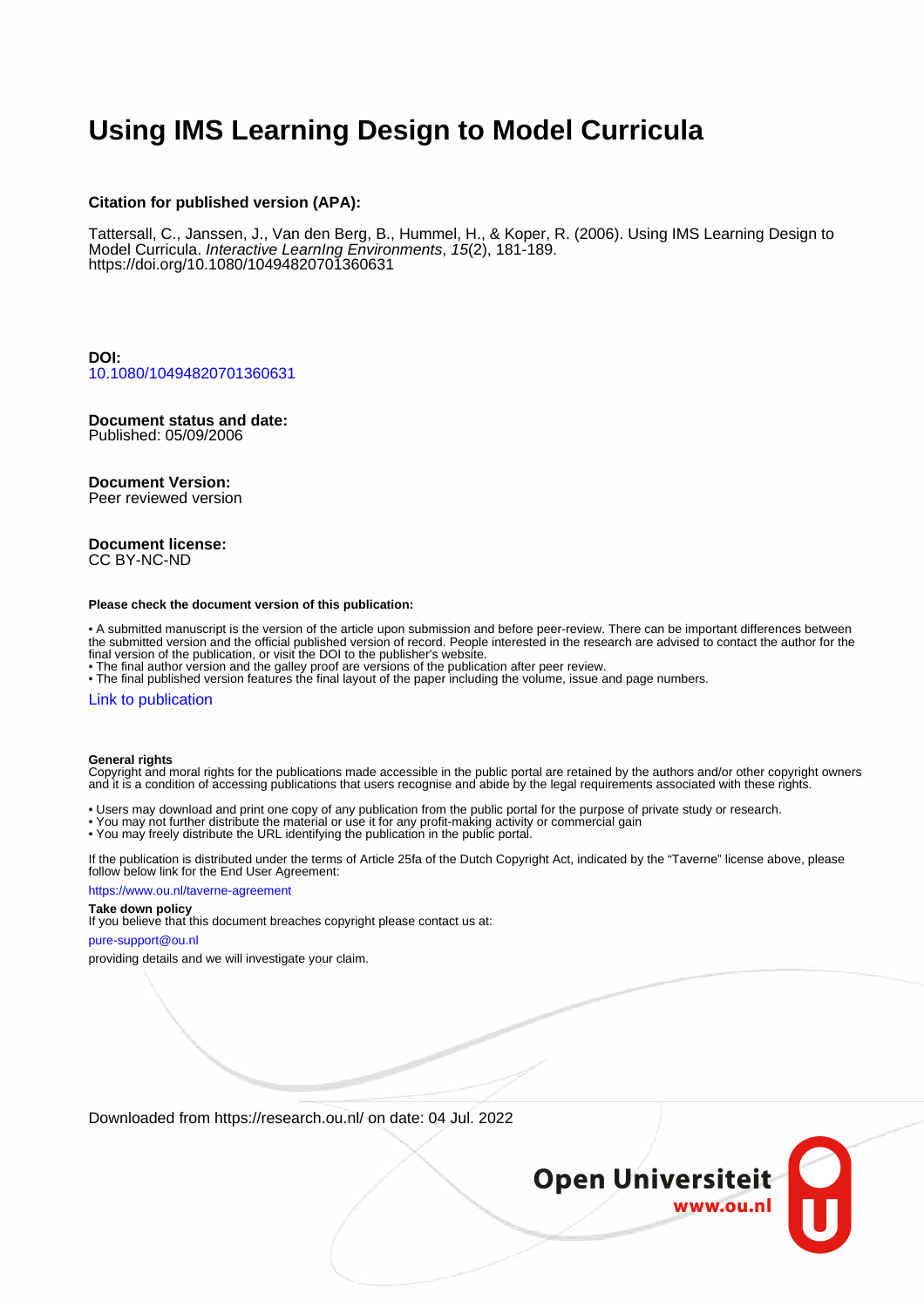# **Using IMS Learning Design to Model Curricula**

### **Citation for published version (APA):**

Tattersall, C., Janssen, J., Van den Berg, B., Hummel, H., & Koper, R. (2006). Using IMS Learning Design to Model Curricula. Interactive LearnIng Environments, 15(2), 181-189. <https://doi.org/10.1080/10494820701360631>

**DOI:** [10.1080/10494820701360631](https://doi.org/10.1080/10494820701360631)

# **Document status and date:**

Published: 05/09/2006

### **Document Version:**

Peer reviewed version

#### **Document license:** CC BY-NC-ND

#### **Please check the document version of this publication:**

• A submitted manuscript is the version of the article upon submission and before peer-review. There can be important differences between the submitted version and the official published version of record. People interested in the research are advised to contact the author for the final version of the publication, or visit the DOI to the publisher's website.

• The final author version and the galley proof are versions of the publication after peer review.

• The final published version features the final layout of the paper including the volume, issue and page numbers.

### [Link to publication](https://research.ou.nl/en/publications/c5e6403d-ce3c-4527-99d5-ca495f64d4fd)

#### **General rights**

Copyright and moral rights for the publications made accessible in the public portal are retained by the authors and/or other copyright owners and it is a condition of accessing publications that users recognise and abide by the legal requirements associated with these rights.

- Users may download and print one copy of any publication from the public portal for the purpose of private study or research.
- You may not further distribute the material or use it for any profit-making activity or commercial gain
- You may freely distribute the URL identifying the publication in the public portal.

If the publication is distributed under the terms of Article 25fa of the Dutch Copyright Act, indicated by the "Taverne" license above, please follow below link for the End User Agreement:

#### https://www.ou.nl/taverne-agreement

### **Take down policy**

If you believe that this document breaches copyright please contact us at:

#### pure-support@ou.nl

providing details and we will investigate your claim.

Downloaded from https://research.ou.nl/ on date: 04 Jul. 2022

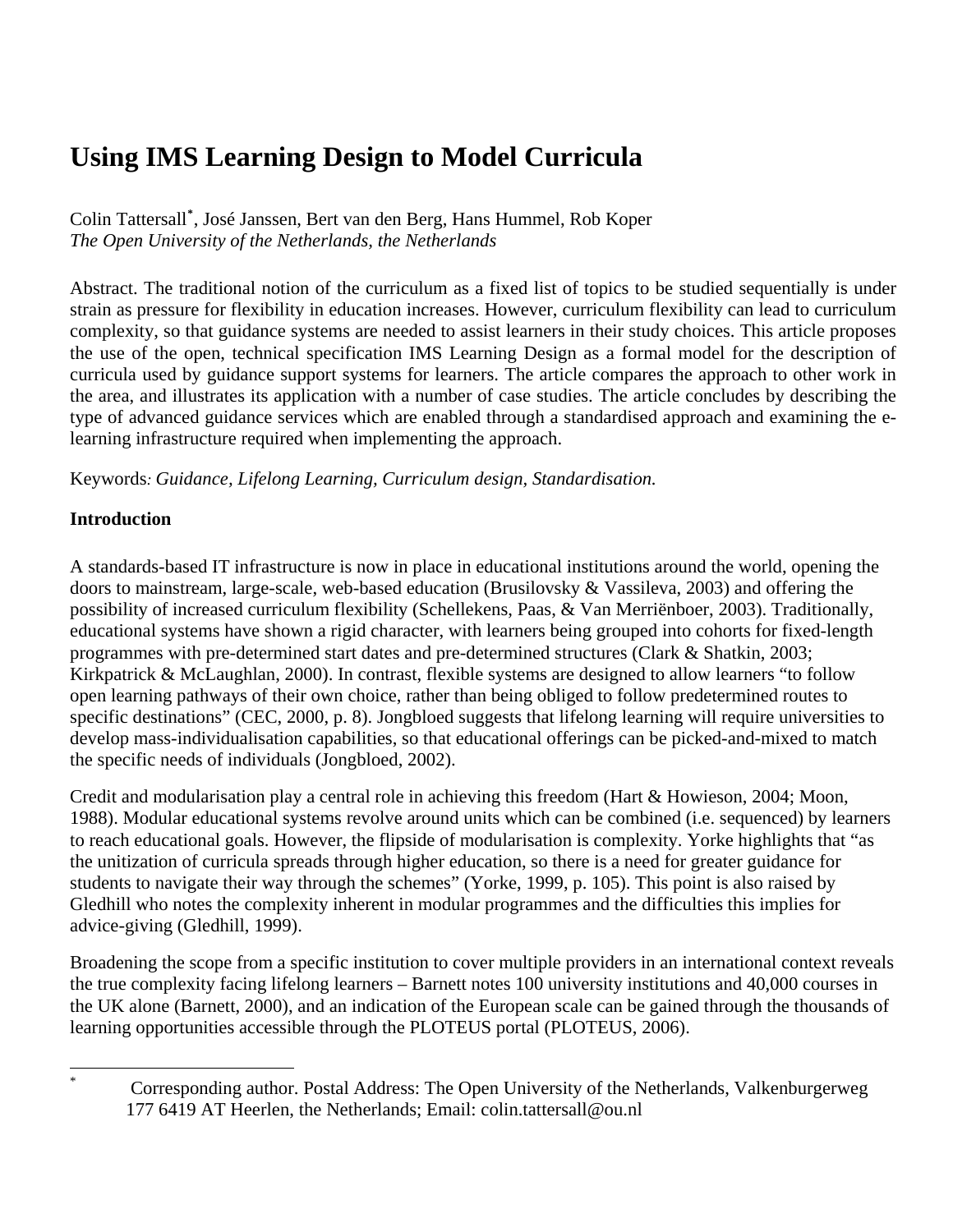# **Using IMS Learning Design to Model Curricula**

Colin Tattersall**[\\*](#page-1-0)** , José Janssen, Bert van den Berg, Hans Hummel, Rob Koper *The Open University of the Netherlands, the Netherlands* 

Abstract. The traditional notion of the curriculum as a fixed list of topics to be studied sequentially is under strain as pressure for flexibility in education increases. However, curriculum flexibility can lead to curriculum complexity, so that guidance systems are needed to assist learners in their study choices. This article proposes the use of the open, technical specification IMS Learning Design as a formal model for the description of curricula used by guidance support systems for learners. The article compares the approach to other work in the area, and illustrates its application with a number of case studies. The article concludes by describing the type of advanced guidance services which are enabled through a standardised approach and examining the elearning infrastructure required when implementing the approach.

Keywords*: Guidance, Lifelong Learning, Curriculum design, Standardisation.* 

## **Introduction**

 $\overline{a}$ 

A standards-based IT infrastructure is now in place in educational institutions around the world, opening the doors to mainstream, large-scale, web-based education (Brusilovsky & Vassileva, 2003) and offering the possibility of increased curriculum flexibility (Schellekens, Paas, & Van Merriënboer, 2003). Traditionally, educational systems have shown a rigid character, with learners being grouped into cohorts for fixed-length programmes with pre-determined start dates and pre-determined structures (Clark & Shatkin, 2003; Kirkpatrick & McLaughlan, 2000). In contrast, flexible systems are designed to allow learners "to follow open learning pathways of their own choice, rather than being obliged to follow predetermined routes to specific destinations" (CEC, 2000, p. 8). Jongbloed suggests that lifelong learning will require universities to develop mass-individualisation capabilities, so that educational offerings can be picked-and-mixed to match the specific needs of individuals (Jongbloed, 2002).

Credit and modularisation play a central role in achieving this freedom (Hart & Howieson, 2004; Moon, 1988). Modular educational systems revolve around units which can be combined (i.e. sequenced) by learners to reach educational goals. However, the flipside of modularisation is complexity. Yorke highlights that "as the unitization of curricula spreads through higher education, so there is a need for greater guidance for students to navigate their way through the schemes" (Yorke, 1999, p. 105). This point is also raised by Gledhill who notes the complexity inherent in modular programmes and the difficulties this implies for advice-giving (Gledhill, 1999).

Broadening the scope from a specific institution to cover multiple providers in an international context reveals the true complexity facing lifelong learners – Barnett notes 100 university institutions and 40,000 courses in the UK alone (Barnett, 2000), and an indication of the European scale can be gained through the thousands of learning opportunities accessible through the PLOTEUS portal (PLOTEUS, 2006).

<span id="page-1-0"></span><sup>\*</sup> Corresponding author. Postal Address: The Open University of the Netherlands, Valkenburgerweg 177 6419 AT Heerlen, the Netherlands; Email: colin.tattersall@ou.nl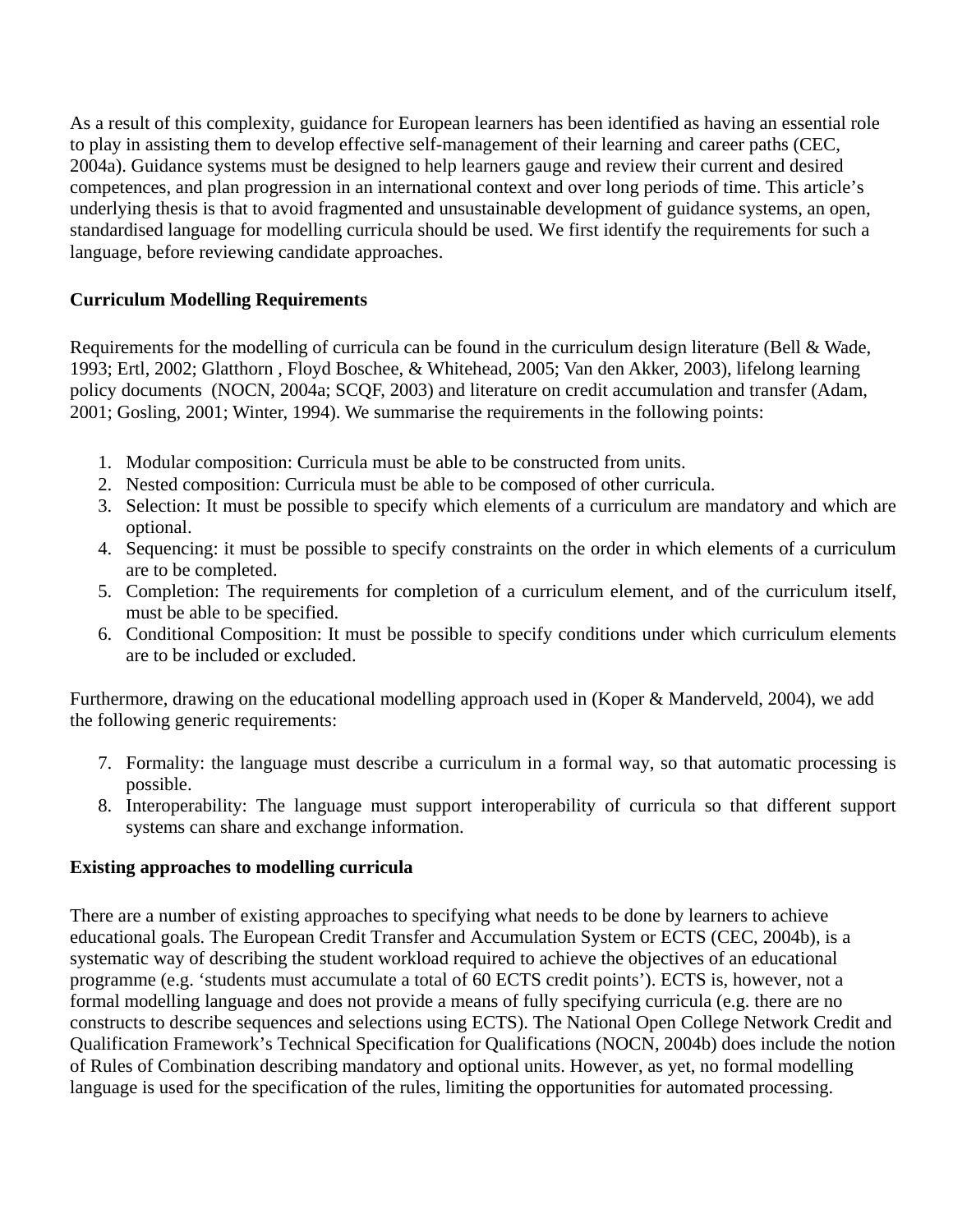As a result of this complexity, guidance for European learners has been identified as having an essential role to play in assisting them to develop effective self-management of their learning and career paths (CEC, 2004a). Guidance systems must be designed to help learners gauge and review their current and desired competences, and plan progression in an international context and over long periods of time. This article's underlying thesis is that to avoid fragmented and unsustainable development of guidance systems, an open, standardised language for modelling curricula should be used. We first identify the requirements for such a language, before reviewing candidate approaches.

# **Curriculum Modelling Requirements**

Requirements for the modelling of curricula can be found in the curriculum design literature (Bell & Wade, 1993; Ertl, 2002; Glatthorn , Floyd Boschee, & Whitehead, 2005; Van den Akker, 2003), lifelong learning policy documents (NOCN, 2004a; SCQF, 2003) and literature on credit accumulation and transfer (Adam, 2001; Gosling, 2001; Winter, 1994). We summarise the requirements in the following points:

- 1. Modular composition: Curricula must be able to be constructed from units.
- 2. Nested composition: Curricula must be able to be composed of other curricula.
- 3. Selection: It must be possible to specify which elements of a curriculum are mandatory and which are optional.
- 4. Sequencing: it must be possible to specify constraints on the order in which elements of a curriculum are to be completed.
- 5. Completion: The requirements for completion of a curriculum element, and of the curriculum itself, must be able to be specified.
- 6. Conditional Composition: It must be possible to specify conditions under which curriculum elements are to be included or excluded.

Furthermore, drawing on the educational modelling approach used in (Koper & Manderveld, 2004), we add the following generic requirements:

- 7. Formality: the language must describe a curriculum in a formal way, so that automatic processing is possible.
- 8. Interoperability: The language must support interoperability of curricula so that different support systems can share and exchange information.

## **Existing approaches to modelling curricula**

There are a number of existing approaches to specifying what needs to be done by learners to achieve educational goals. The European Credit Transfer and Accumulation System or ECTS (CEC, 2004b), is a systematic way of describing the student workload required to achieve the objectives of an educational programme (e.g. 'students must accumulate a total of 60 ECTS credit points'). ECTS is, however, not a formal modelling language and does not provide a means of fully specifying curricula (e.g. there are no constructs to describe sequences and selections using ECTS). The National Open College Network Credit and Qualification Framework's Technical Specification for Qualifications (NOCN, 2004b) does include the notion of Rules of Combination describing mandatory and optional units. However, as yet, no formal modelling language is used for the specification of the rules, limiting the opportunities for automated processing.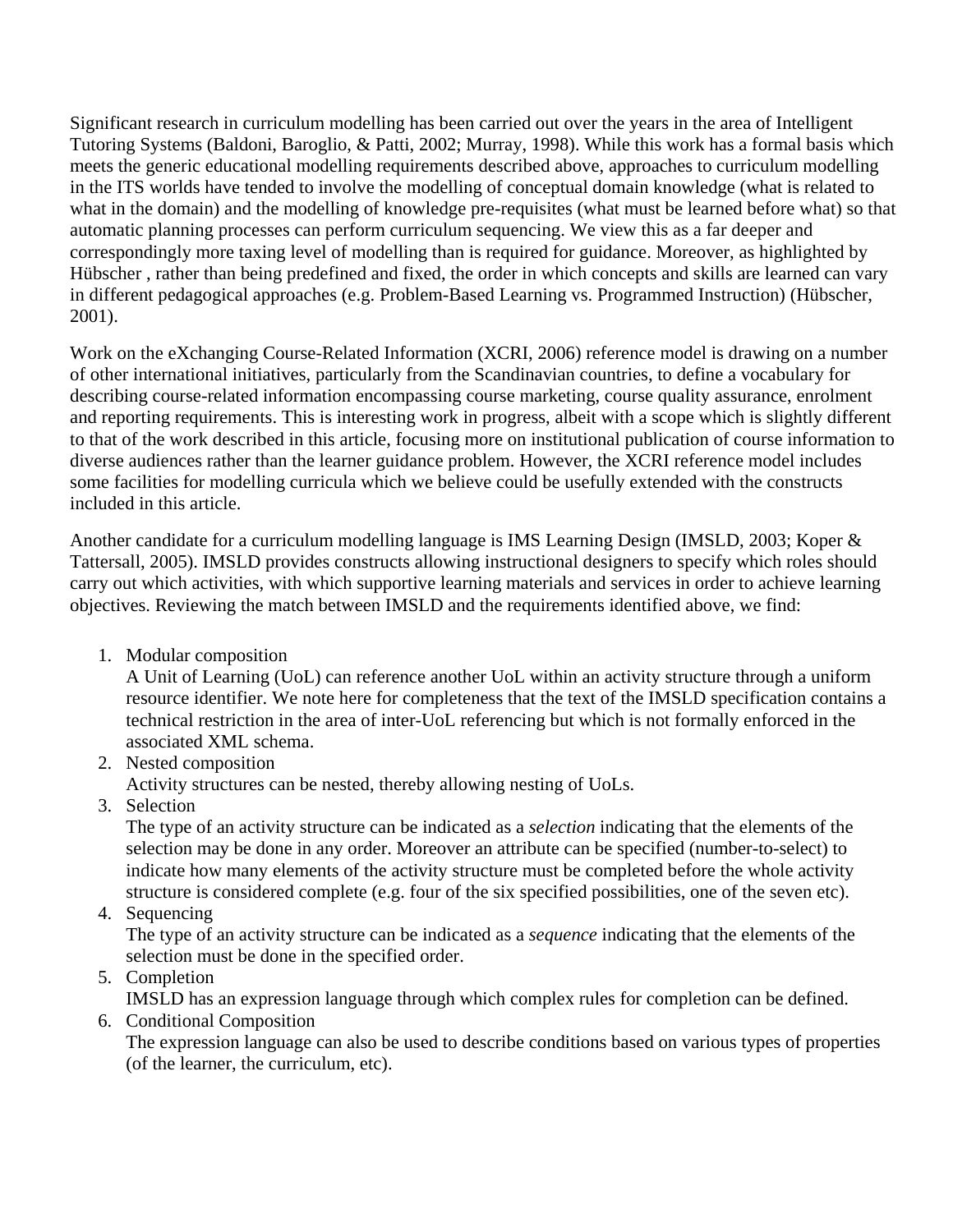Significant research in curriculum modelling has been carried out over the years in the area of Intelligent Tutoring Systems (Baldoni, Baroglio, & Patti, 2002; Murray, 1998). While this work has a formal basis which meets the generic educational modelling requirements described above, approaches to curriculum modelling in the ITS worlds have tended to involve the modelling of conceptual domain knowledge (what is related to what in the domain) and the modelling of knowledge pre-requisites (what must be learned before what) so that automatic planning processes can perform curriculum sequencing. We view this as a far deeper and correspondingly more taxing level of modelling than is required for guidance. Moreover, as highlighted by Hübscher , rather than being predefined and fixed, the order in which concepts and skills are learned can vary in different pedagogical approaches (e.g. Problem-Based Learning vs. Programmed Instruction) (Hübscher, 2001).

Work on the eXchanging Course-Related Information (XCRI, 2006) reference model is drawing on a number of other international initiatives, particularly from the Scandinavian countries, to define a vocabulary for describing course-related information encompassing course marketing, course quality assurance, enrolment and reporting requirements. This is interesting work in progress, albeit with a scope which is slightly different to that of the work described in this article, focusing more on institutional publication of course information to diverse audiences rather than the learner guidance problem. However, the XCRI reference model includes some facilities for modelling curricula which we believe could be usefully extended with the constructs included in this article.

Another candidate for a curriculum modelling language is IMS Learning Design (IMSLD, 2003; Koper & Tattersall, 2005). IMSLD provides constructs allowing instructional designers to specify which roles should carry out which activities, with which supportive learning materials and services in order to achieve learning objectives. Reviewing the match between IMSLD and the requirements identified above, we find:

1. Modular composition

A Unit of Learning (UoL) can reference another UoL within an activity structure through a uniform resource identifier. We note here for completeness that the text of the IMSLD specification contains a technical restriction in the area of inter-UoL referencing but which is not formally enforced in the associated XML schema.

2. Nested composition

Activity structures can be nested, thereby allowing nesting of UoLs.

3. Selection

The type of an activity structure can be indicated as a *selection* indicating that the elements of the selection may be done in any order. Moreover an attribute can be specified (number-to-select) to indicate how many elements of the activity structure must be completed before the whole activity structure is considered complete (e.g. four of the six specified possibilities, one of the seven etc).

4. Sequencing

The type of an activity structure can be indicated as a *sequence* indicating that the elements of the selection must be done in the specified order.

5. Completion

IMSLD has an expression language through which complex rules for completion can be defined.

6. Conditional Composition

The expression language can also be used to describe conditions based on various types of properties (of the learner, the curriculum, etc).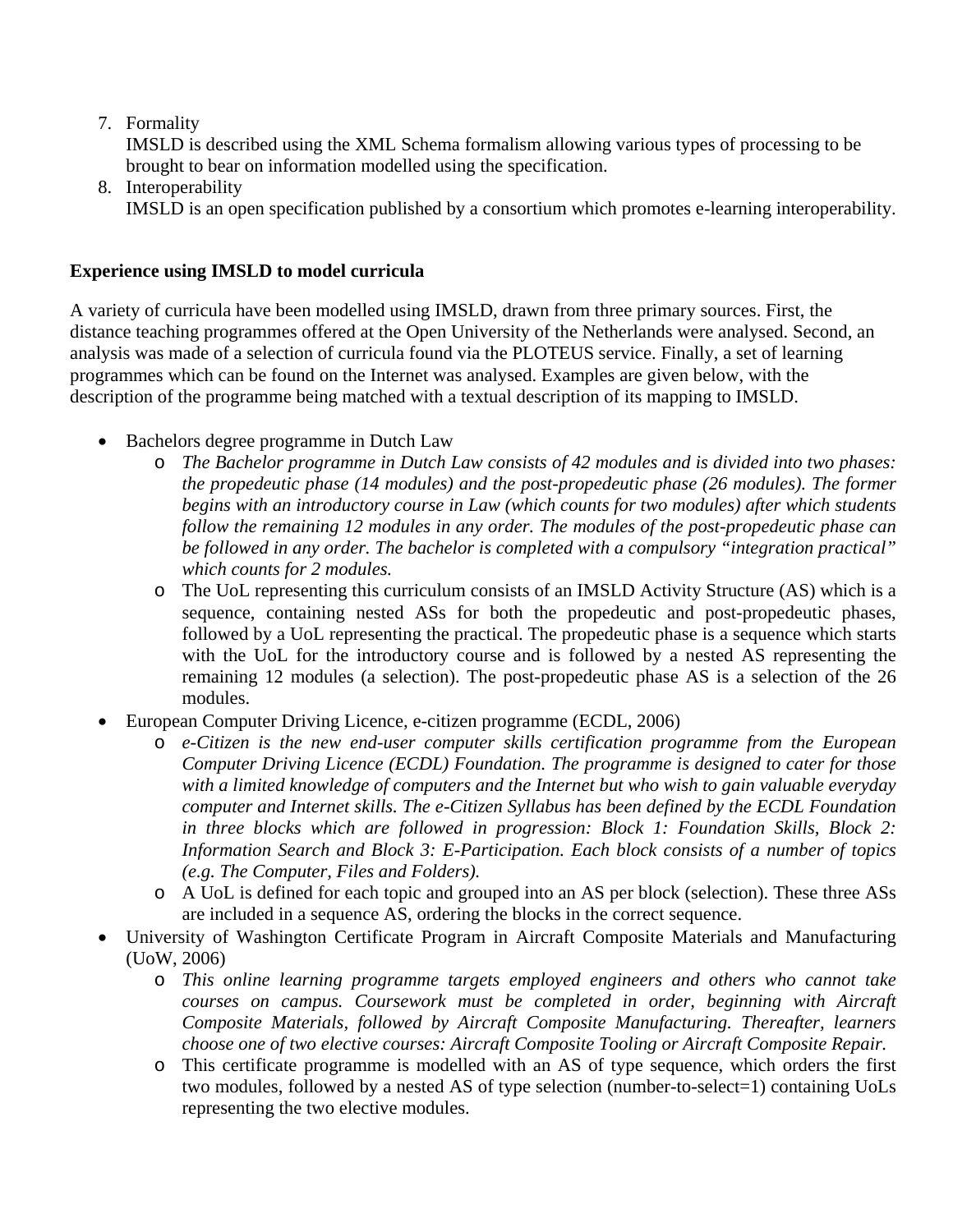7. Formality

IMSLD is described using the XML Schema formalism allowing various types of processing to be brought to bear on information modelled using the specification.

8. Interoperability IMSLD is an open specification published by a consortium which promotes e-learning interoperability.

# **Experience using IMSLD to model curricula**

A variety of curricula have been modelled using IMSLD, drawn from three primary sources. First, the distance teaching programmes offered at the Open University of the Netherlands were analysed. Second, an analysis was made of a selection of curricula found via the PLOTEUS service. Finally, a set of learning programmes which can be found on the Internet was analysed. Examples are given below, with the description of the programme being matched with a textual description of its mapping to IMSLD.

- Bachelors degree programme in Dutch Law
	- o *The Bachelor programme in Dutch Law consists of 42 modules and is divided into two phases: the propedeutic phase (14 modules) and the post-propedeutic phase (26 modules). The former begins with an introductory course in Law (which counts for two modules) after which students follow the remaining 12 modules in any order. The modules of the post-propedeutic phase can be followed in any order. The bachelor is completed with a compulsory "integration practical" which counts for 2 modules.*
	- o The UoL representing this curriculum consists of an IMSLD Activity Structure (AS) which is a sequence, containing nested ASs for both the propedeutic and post-propedeutic phases, followed by a UoL representing the practical. The propedeutic phase is a sequence which starts with the UoL for the introductory course and is followed by a nested AS representing the remaining 12 modules (a selection). The post-propedeutic phase AS is a selection of the 26 modules.
- European Computer Driving Licence, e-citizen programme (ECDL, 2006)
	- o *e-Citizen is the new end-user computer skills certification programme from the European Computer Driving Licence (ECDL) Foundation. The programme is designed to cater for those with a limited knowledge of computers and the Internet but who wish to gain valuable everyday computer and Internet skills. The e-Citizen Syllabus has been defined by the ECDL Foundation in three blocks which are followed in progression: Block 1: Foundation Skills, Block 2: Information Search and Block 3: E-Participation. Each block consists of a number of topics (e.g. The Computer, Files and Folders).*
	- o A UoL is defined for each topic and grouped into an AS per block (selection). These three ASs are included in a sequence AS, ordering the blocks in the correct sequence.
- University of Washington Certificate Program in Aircraft Composite Materials and Manufacturing (UoW, 2006)
	- o *This online learning programme targets employed engineers and others who cannot take courses on campus. Coursework must be completed in order, beginning with Aircraft Composite Materials, followed by Aircraft Composite Manufacturing. Thereafter, learners choose one of two elective courses: Aircraft Composite Tooling or Aircraft Composite Repair.*
	- o This certificate programme is modelled with an AS of type sequence, which orders the first two modules, followed by a nested AS of type selection (number-to-select=1) containing UoLs representing the two elective modules.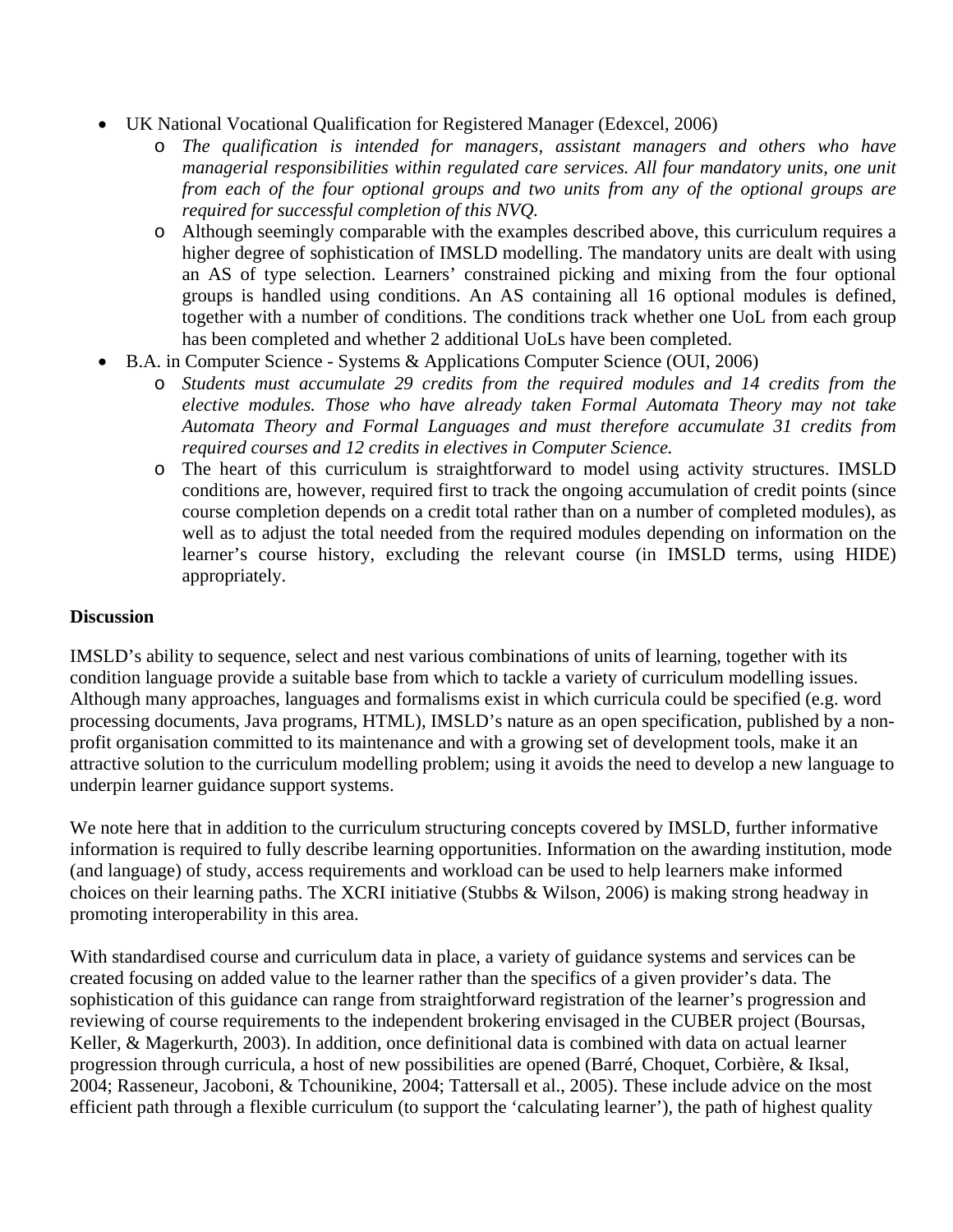- UK National Vocational Qualification for Registered Manager (Edexcel, 2006)
	- o *The qualification is intended for managers, assistant managers and others who have managerial responsibilities within regulated care services. All four mandatory units, one unit from each of the four optional groups and two units from any of the optional groups are required for successful completion of this NVQ.*
	- o Although seemingly comparable with the examples described above, this curriculum requires a higher degree of sophistication of IMSLD modelling. The mandatory units are dealt with using an AS of type selection. Learners' constrained picking and mixing from the four optional groups is handled using conditions. An AS containing all 16 optional modules is defined, together with a number of conditions. The conditions track whether one UoL from each group has been completed and whether 2 additional UoLs have been completed.
- B.A. in Computer Science Systems & Applications Computer Science (OUI, 2006)
	- o *Students must accumulate 29 credits from the required modules and 14 credits from the elective modules. Those who have already taken Formal Automata Theory may not take Automata Theory and Formal Languages and must therefore accumulate 31 credits from required courses and 12 credits in electives in Computer Science.*
	- o The heart of this curriculum is straightforward to model using activity structures. IMSLD conditions are, however, required first to track the ongoing accumulation of credit points (since course completion depends on a credit total rather than on a number of completed modules), as well as to adjust the total needed from the required modules depending on information on the learner's course history, excluding the relevant course (in IMSLD terms, using HIDE) appropriately.

### **Discussion**

IMSLD's ability to sequence, select and nest various combinations of units of learning, together with its condition language provide a suitable base from which to tackle a variety of curriculum modelling issues. Although many approaches, languages and formalisms exist in which curricula could be specified (e.g. word processing documents, Java programs, HTML), IMSLD's nature as an open specification, published by a nonprofit organisation committed to its maintenance and with a growing set of development tools, make it an attractive solution to the curriculum modelling problem; using it avoids the need to develop a new language to underpin learner guidance support systems.

We note here that in addition to the curriculum structuring concepts covered by IMSLD, further informative information is required to fully describe learning opportunities. Information on the awarding institution, mode (and language) of study, access requirements and workload can be used to help learners make informed choices on their learning paths. The XCRI initiative (Stubbs & Wilson, 2006) is making strong headway in promoting interoperability in this area.

With standardised course and curriculum data in place, a variety of guidance systems and services can be created focusing on added value to the learner rather than the specifics of a given provider's data. The sophistication of this guidance can range from straightforward registration of the learner's progression and reviewing of course requirements to the independent brokering envisaged in the CUBER project (Boursas, Keller, & Magerkurth, 2003). In addition, once definitional data is combined with data on actual learner progression through curricula, a host of new possibilities are opened (Barré, Choquet, Corbière, & Iksal, 2004; Rasseneur, Jacoboni, & Tchounikine, 2004; Tattersall et al., 2005). These include advice on the most efficient path through a flexible curriculum (to support the 'calculating learner'), the path of highest quality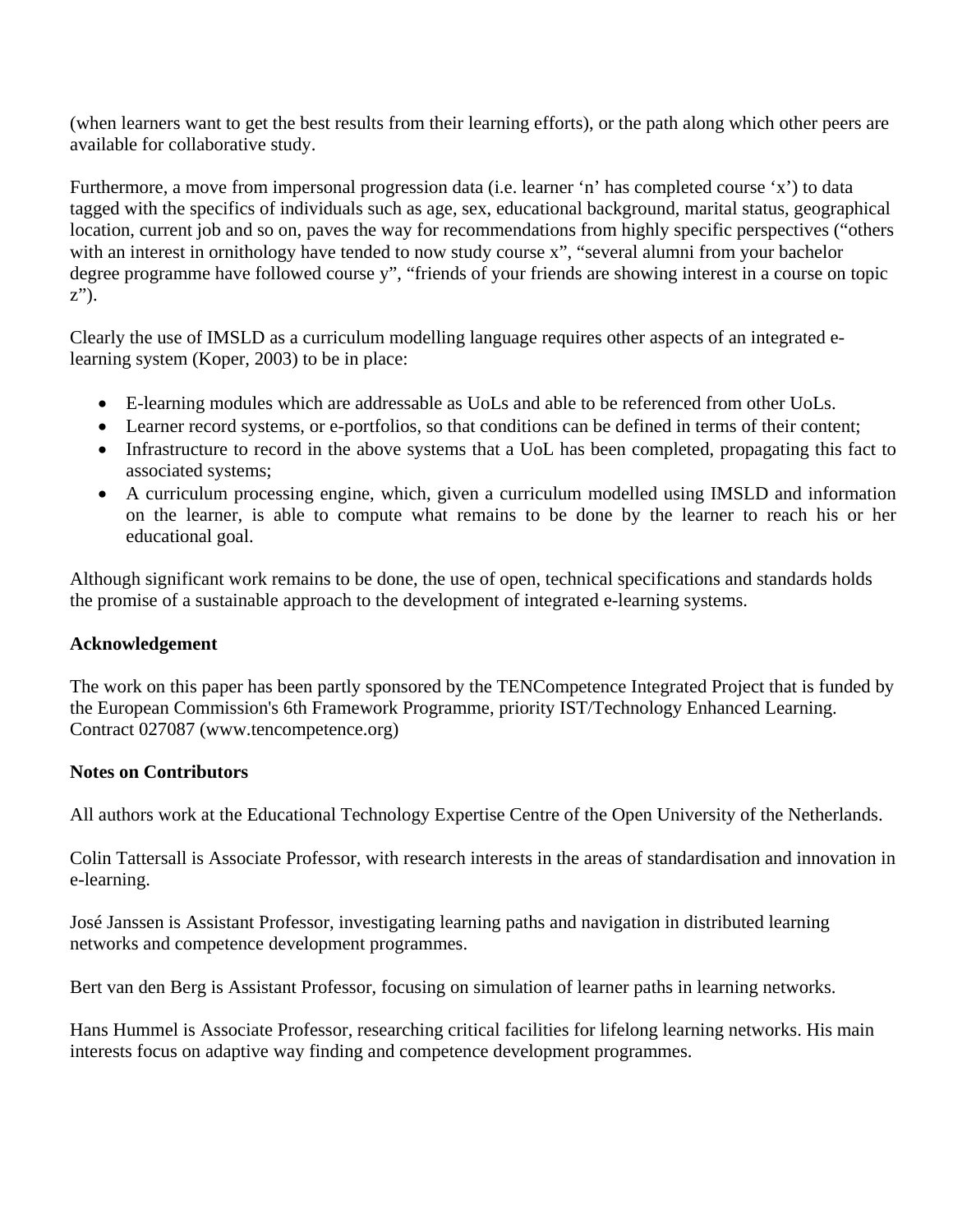(when learners want to get the best results from their learning efforts), or the path along which other peers are available for collaborative study.

Furthermore, a move from impersonal progression data (i.e. learner 'n' has completed course 'x') to data tagged with the specifics of individuals such as age, sex, educational background, marital status, geographical location, current job and so on, paves the way for recommendations from highly specific perspectives ("others with an interest in ornithology have tended to now study course x", "several alumni from your bachelor degree programme have followed course y", "friends of your friends are showing interest in a course on topic z").

Clearly the use of IMSLD as a curriculum modelling language requires other aspects of an integrated elearning system (Koper, 2003) to be in place:

- E-learning modules which are addressable as UoLs and able to be referenced from other UoLs.
- Learner record systems, or e-portfolios, so that conditions can be defined in terms of their content;
- Infrastructure to record in the above systems that a UoL has been completed, propagating this fact to associated systems;
- A curriculum processing engine, which, given a curriculum modelled using IMSLD and information on the learner, is able to compute what remains to be done by the learner to reach his or her educational goal.

Although significant work remains to be done, the use of open, technical specifications and standards holds the promise of a sustainable approach to the development of integrated e-learning systems.

## **Acknowledgement**

The work on this paper has been partly sponsored by the TENCompetence Integrated Project that is funded by the European Commission's 6th Framework Programme, priority IST/Technology Enhanced Learning. Contract 027087 (www.tencompetence.org)

## **Notes on Contributors**

All authors work at the Educational Technology Expertise Centre of the Open University of the Netherlands.

Colin Tattersall is Associate Professor, with research interests in the areas of standardisation and innovation in e-learning.

José Janssen is Assistant Professor, investigating learning paths and navigation in distributed learning networks and competence development programmes.

Bert van den Berg is Assistant Professor, focusing on simulation of learner paths in learning networks.

Hans Hummel is Associate Professor, researching critical facilities for lifelong learning networks. His main interests focus on adaptive way finding and competence development programmes.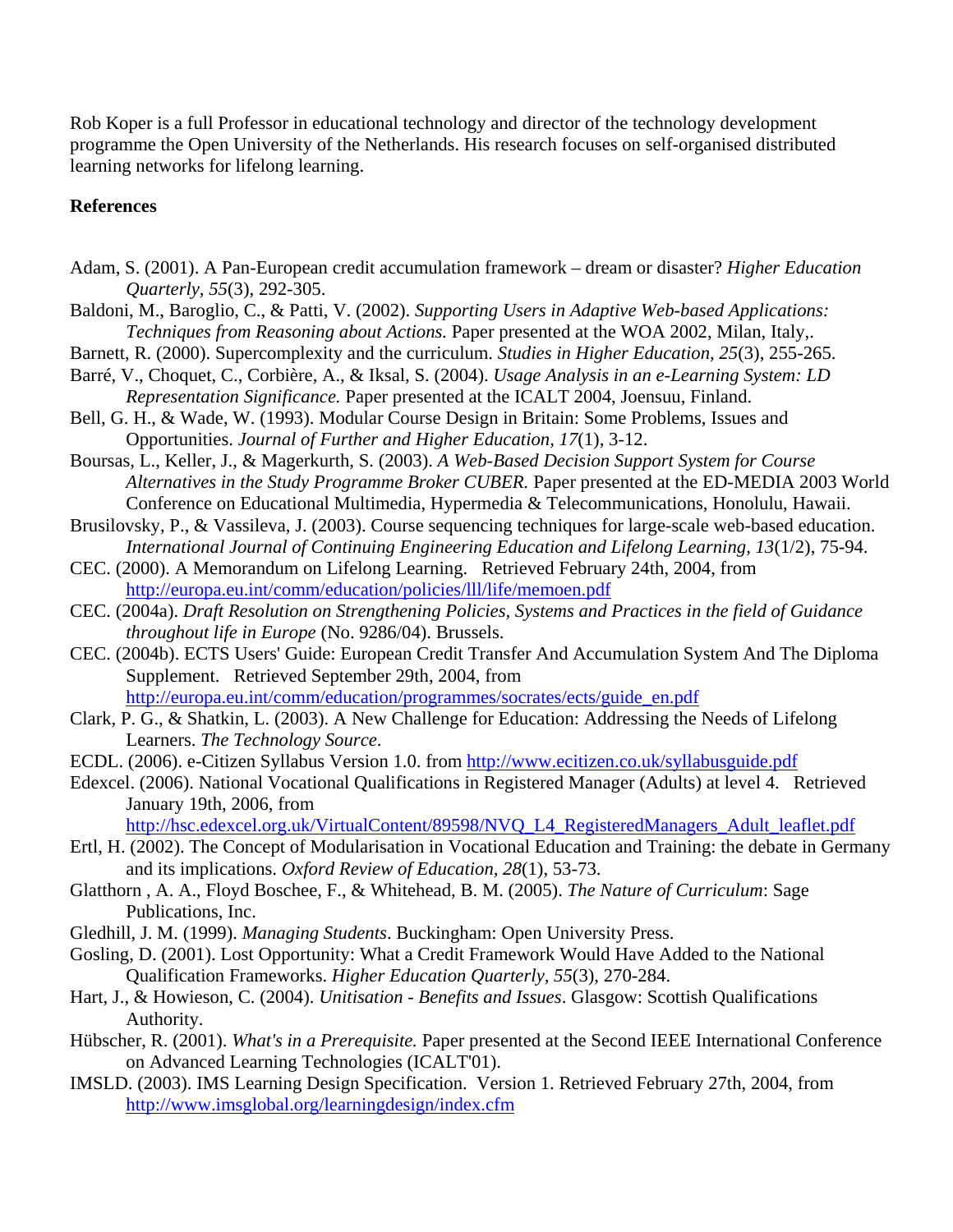Rob Koper is a full Professor in educational technology and director of the technology development programme the Open University of the Netherlands. His research focuses on self-organised distributed learning networks for lifelong learning.

### **References**

- Adam, S. (2001). A Pan-European credit accumulation framework dream or disaster? *Higher Education Quarterly, 55*(3), 292-305.
- Baldoni, M., Baroglio, C., & Patti, V. (2002). *Supporting Users in Adaptive Web-based Applications: Techniques from Reasoning about Actions.* Paper presented at the WOA 2002, Milan, Italy,.
- Barnett, R. (2000). Supercomplexity and the curriculum. *Studies in Higher Education, 25*(3), 255-265.
- Barré, V., Choquet, C., Corbière, A., & Iksal, S. (2004). *Usage Analysis in an e-Learning System: LD Representation Significance.* Paper presented at the ICALT 2004, Joensuu, Finland.
- Bell, G. H., & Wade, W. (1993). Modular Course Design in Britain: Some Problems, Issues and Opportunities. *Journal of Further and Higher Education, 17*(1), 3-12.
- Boursas, L., Keller, J., & Magerkurth, S. (2003). *A Web-Based Decision Support System for Course Alternatives in the Study Programme Broker CUBER.* Paper presented at the ED-MEDIA 2003 World Conference on Educational Multimedia, Hypermedia & Telecommunications, Honolulu, Hawaii.

Brusilovsky, P., & Vassileva, J. (2003). Course sequencing techniques for large-scale web-based education. *International Journal of Continuing Engineering Education and Lifelong Learning, 13*(1/2), 75-94.

- CEC. (2000). A Memorandum on Lifelong Learning. Retrieved February 24th, 2004, from <http://europa.eu.int/comm/education/policies/lll/life/memoen.pdf>
- CEC. (2004a). *Draft Resolution on Strengthening Policies, Systems and Practices in the field of Guidance throughout life in Europe* (No. 9286/04). Brussels.
- CEC. (2004b). ECTS Users' Guide: European Credit Transfer And Accumulation System And The Diploma Supplement. Retrieved September 29th, 2004, from [http://europa.eu.int/comm/education/programmes/socrates/ects/guide\\_en.pdf](http://europa.eu.int/comm/education/programmes/socrates/ects/guide_en.pdf)
- Clark, P. G., & Shatkin, L. (2003). A New Challenge for Education: Addressing the Needs of Lifelong Learners. *The Technology Source*.
- ECDL. (2006). e-Citizen Syllabus Version 1.0. from <http://www.ecitizen.co.uk/syllabusguide.pdf>
- Edexcel. (2006). National Vocational Qualifications in Registered Manager (Adults) at level 4. Retrieved January 19th, 2006, from

[http://hsc.edexcel.org.uk/VirtualContent/89598/NVQ\\_L4\\_RegisteredManagers\\_Adult\\_leaflet.pdf](http://hsc.edexcel.org.uk/VirtualContent/89598/NVQ_L4_RegisteredManagers_Adult_leaflet.pdf)

- Ertl, H. (2002). The Concept of Modularisation in Vocational Education and Training: the debate in Germany and its implications. *Oxford Review of Education, 28*(1), 53-73.
- Glatthorn , A. A., Floyd Boschee, F., & Whitehead, B. M. (2005). *The Nature of Curriculum*: Sage Publications, Inc.
- Gledhill, J. M. (1999). *Managing Students*. Buckingham: Open University Press.
- Gosling, D. (2001). Lost Opportunity: What a Credit Framework Would Have Added to the National Qualification Frameworks. *Higher Education Quarterly, 55*(3), 270-284.
- Hart, J., & Howieson, C. (2004). *Unitisation Benefits and Issues*. Glasgow: Scottish Qualifications Authority.
- Hübscher, R. (2001). *What's in a Prerequisite.* Paper presented at the Second IEEE International Conference on Advanced Learning Technologies (ICALT'01).
- IMSLD. (2003). IMS Learning Design Specification. Version 1. Retrieved February 27th, 2004, from <http://www.imsglobal.org/learningdesign/index.cfm>